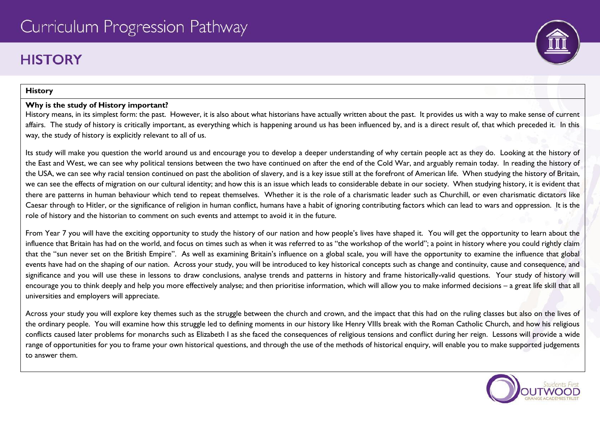# **HISTORY**

### **History**

# **Why is the study of History important?**

History means, in its simplest form: the past. However, it is also about what historians have actually written about the past. It provides us with a way to make sense of current affairs. The study of history is critically important, as everything which is happening around us has been influenced by, and is a direct result of, that which preceded it. In this way, the study of history is explicitly relevant to all of us.

Its study will make you question the world around us and encourage you to develop a deeper understanding of why certain people act as they do. Looking at the history of the East and West, we can see why political tensions between the two have continued on after the end of the Cold War, and arguably remain today. In reading the history of the USA, we can see why racial tension continued on past the abolition of slavery, and is a key issue still at the forefront of American life. When studying the history of Britain, we can see the effects of migration on our cultural identity; and how this is an issue which leads to considerable debate in our society. When studying history, it is evident that there are patterns in human behaviour which tend to repeat themselves. Whether it is the role of a charismatic leader such as Churchill, or even charismatic dictators like Caesar through to Hitler, or the significance of religion in human conflict, humans have a habit of ignoring contributing factors which can lead to wars and oppression. It is the role of history and the historian to comment on such events and attempt to avoid it in the future.

From Year 7 you will have the exciting opportunity to study the history of our nation and how people's lives have shaped it. You will get the opportunity to learn about the influence that Britain has had on the world, and focus on times such as when it was referred to as "the workshop of the world"; a point in history where you could rightly claim that the "sun never set on the British Empire". As well as examining Britain's influence on a global scale, you will have the opportunity to examine the influence that global events have had on the shaping of our nation. Across your study, you will be introduced to key historical concepts such as change and continuity, cause and consequence, and significance and you will use these in lessons to draw conclusions, analyse trends and patterns in history and frame historically-valid questions. Your study of history will encourage you to think deeply and help you more effectively analyse; and then prioritise information, which will allow you to make informed decisions – a great life skill that all universities and employers will appreciate.

Across your study you will explore key themes such as the struggle between the church and crown, and the impact that this had on the ruling classes but also on the lives of the ordinary people. You will examine how this struggle led to defining moments in our history like Henry VIIIs break with the Roman Catholic Church, and how his religious conflicts caused later problems for monarchs such as Elizabeth I as she faced the consequences of religious tensions and conflict during her reign. Lessons will provide a wide range of opportunities for you to frame your own historical questions, and through the use of the methods of historical enquiry, will enable you to make supported judgements to answer them.

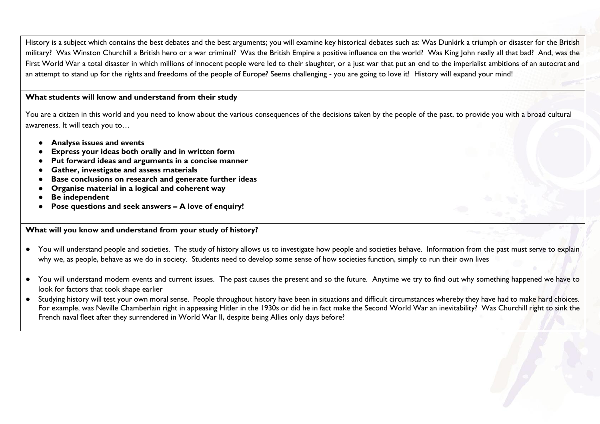History is a subject which contains the best debates and the best arguments; you will examine key historical debates such as: Was Dunkirk a triumph or disaster for the British military? Was Winston Churchill a British hero or a war criminal? Was the British Empire a positive influence on the world? Was King John really all that bad? And, was the First World War a total disaster in which millions of innocent people were led to their slaughter, or a just war that put an end to the imperialist ambitions of an autocrat and an attempt to stand up for the rights and freedoms of the people of Europe? Seems challenging - you are going to love it! History will expand your mind!

#### **What students will know and understand from their study**

You are a citizen in this world and you need to know about the various consequences of the decisions taken by the people of the past, to provide you with a broad cultural awareness. It will teach you to…

- **Analyse issues and events**
- **Express your ideas both orally and in written form**
- **Put forward ideas and arguments in a concise manner**
- **Gather, investigate and assess materials**
- **Base conclusions on research and generate further ideas**
- **Organise material in a logical and coherent way**
- **Be independent**
- **Pose questions and seek answers – A love of enquiry!**

#### **What will you know and understand from your study of history?**

- You will understand people and societies. The study of history allows us to investigate how people and societies behave. Information from the past must serve to explain why we, as people, behave as we do in society. Students need to develop some sense of how societies function, simply to run their own lives
- You will understand modern events and current issues. The past causes the present and so the future. Anytime we try to find out why something happened we have to look for factors that took shape earlier
- Studying history will test your own moral sense. People throughout history have been in situations and difficult circumstances whereby they have had to make hard choices. For example, was Neville Chamberlain right in appeasing Hitler in the 1930s or did he in fact make the Second World War an inevitability? Was Churchill right to sink the French naval fleet after they surrendered in World War II, despite being Allies only days before?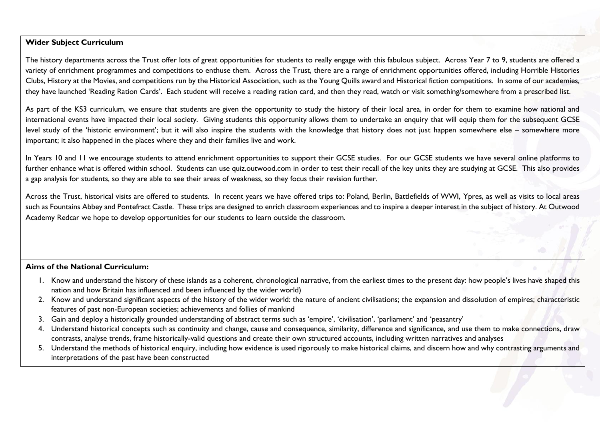### **Wider Subject Curriculum**

The history departments across the Trust offer lots of great opportunities for students to really engage with this fabulous subject. Across Year 7 to 9, students are offered a variety of enrichment programmes and competitions to enthuse them. Across the Trust, there are a range of enrichment opportunities offered, including Horrible Histories Clubs, History at the Movies, and competitions run by the Historical Association, such as the Young Quills award and Historical fiction competitions. In some of our academies, they have launched 'Reading Ration Cards'. Each student will receive a reading ration card, and then they read, watch or visit something/somewhere from a prescribed list.

As part of the KS3 curriculum, we ensure that students are given the opportunity to study the history of their local area, in order for them to examine how national and international events have impacted their local society. Giving students this opportunity allows them to undertake an enquiry that will equip them for the subsequent GCSE level study of the 'historic environment'; but it will also inspire the students with the knowledge that history does not just happen somewhere else – somewhere more important; it also happened in the places where they and their families live and work.

In Years 10 and 11 we encourage students to attend enrichment opportunities to support their GCSE studies. For our GCSE students we have several online platforms to further enhance what is offered within school. Students can use quiz.outwood.com in order to test their recall of the key units they are studying at GCSE. This also provides a gap analysis for students, so they are able to see their areas of weakness, so they focus their revision further.

Across the Trust, historical visits are offered to students. In recent years we have offered trips to: Poland, Berlin, Battlefields of WWI, Ypres, as well as visits to local areas such as Fountains Abbey and Pontefract Castle. These trips are designed to enrich classroom experiences and to inspire a deeper interest in the subject of history. At Outwood Academy Redcar we hope to develop opportunities for our students to learn outside the classroom.

#### **Aims of the National Curriculum:**

- 1. Know and understand the history of these islands as a coherent, chronological narrative, from the earliest times to the present day: how people's lives have shaped this nation and how Britain has influenced and been influenced by the wider world)
- 2. Know and understand significant aspects of the history of the wider world: the nature of ancient civilisations; the expansion and dissolution of empires; characteristic features of past non-European societies; achievements and follies of mankind
- 3. Gain and deploy a historically grounded understanding of abstract terms such as 'empire', 'civilisation', 'parliament' and 'peasantry'
- 4. Understand historical concepts such as continuity and change, cause and consequence, similarity, difference and significance, and use them to make connections, draw contrasts, analyse trends, frame historically-valid questions and create their own structured accounts, including written narratives and analyses
- 5. Understand the methods of historical enquiry, including how evidence is used rigorously to make historical claims, and discern how and why contrasting arguments and interpretations of the past have been constructed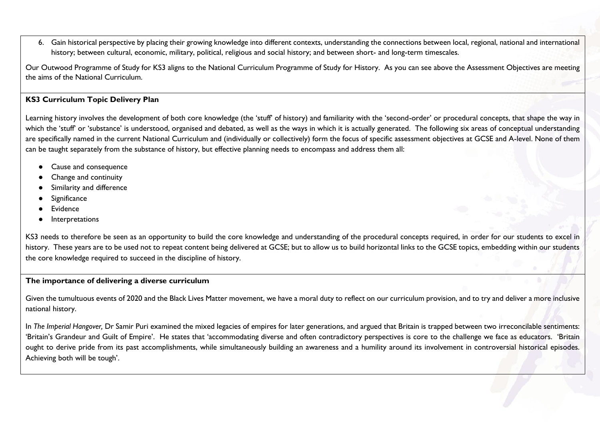6. Gain historical perspective by placing their growing knowledge into different contexts, understanding the connections between local, regional, national and international history; between cultural, economic, military, political, religious and social history; and between short- and long-term timescales.

Our Outwood Programme of Study for KS3 aligns to the National Curriculum Programme of Study for History. As you can see above the Assessment Objectives are meeting the aims of the National Curriculum.

## **KS3 Curriculum Topic Delivery Plan**

Learning history involves the development of both core knowledge (the 'stuff' of history) and familiarity with the 'second-order' or procedural concepts, that shape the way in which the 'stuff' or 'substance' is understood, organised and debated, as well as the ways in which it is actually generated. The following six areas of conceptual understanding are specifically named in the current National Curriculum and (individually or collectively) form the focus of specific assessment objectives at GCSE and A-level. None of them can be taught separately from the substance of history, but effective planning needs to encompass and address them all:

- Cause and consequence
- Change and continuity
- Similarity and difference
- Significance
- **Evidence**
- **Interpretations**

KS3 needs to therefore be seen as an opportunity to build the core knowledge and understanding of the procedural concepts required, in order for our students to excel in history. These years are to be used not to repeat content being delivered at GCSE; but to allow us to build horizontal links to the GCSE topics, embedding within our students the core knowledge required to succeed in the discipline of history.

#### **The importance of delivering a diverse curriculum**

Given the tumultuous events of 2020 and the Black Lives Matter movement, we have a moral duty to reflect on our curriculum provision, and to try and deliver a more inclusive national history.

In *The Imperial Hangover,* Dr Samir Puri examined the mixed legacies of empires for later generations, and argued that Britain is trapped between two irreconcilable sentiments: 'Britain's Grandeur and Guilt of Empire'. He states that 'accommodating diverse and often contradictory perspectives is core to the challenge we face as educators. 'Britain ought to derive pride from its past accomplishments, while simultaneously building an awareness and a humility around its involvement in controversial historical episodes. Achieving both will be tough'.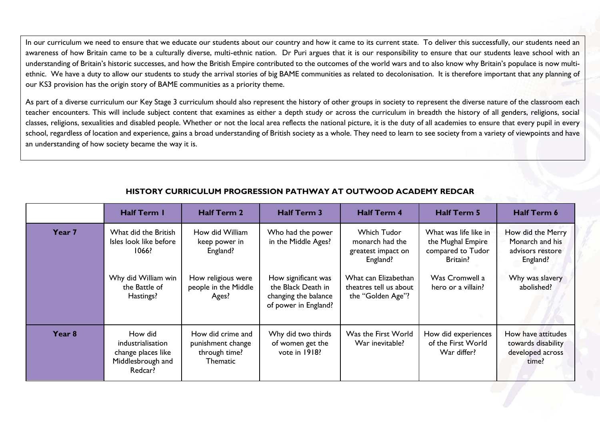In our curriculum we need to ensure that we educate our students about our country and how it came to its current state. To deliver this successfully, our students need an awareness of how Britain came to be a culturally diverse, multi-ethnic nation. Dr Puri argues that it is our responsibility to ensure that our students leave school with an understanding of Britain's historic successes, and how the British Empire contributed to the outcomes of the world wars and to also know why Britain's populace is now multiethnic. We have a duty to allow our students to study the arrival stories of big BAME communities as related to decolonisation. It is therefore important that any planning of our KS3 provision has the origin story of BAME communities as a priority theme.

As part of a diverse curriculum our Key Stage 3 curriculum should also represent the history of other groups in society to represent the diverse nature of the classroom each teacher encounters. This will include subject content that examines as either a depth study or across the curriculum in breadth the history of all genders, religions, social classes, religions, sexualities and disabled people. Whether or not the local area reflects the national picture, it is the duty of all academies to ensure that every pupil in every school, regardless of location and experience, gains a broad understanding of British society as a whole. They need to learn to see society from a variety of viewpoints and have an understanding of how society became the way it is.

|                   | <b>Half Term I</b>                                                                                           | <b>Half Term 2</b>                                                                                  | <b>Half Term 3</b>                                                                                                                    | <b>Half Term 4</b>                                                                                                                      | <b>Half Term 5</b>                                                                                                  | Half Term 6                                                                                           |
|-------------------|--------------------------------------------------------------------------------------------------------------|-----------------------------------------------------------------------------------------------------|---------------------------------------------------------------------------------------------------------------------------------------|-----------------------------------------------------------------------------------------------------------------------------------------|---------------------------------------------------------------------------------------------------------------------|-------------------------------------------------------------------------------------------------------|
| Year 7            | What did the British<br>Isles look like before<br>1066?<br>Why did William win<br>the Battle of<br>Hastings? | How did William<br>keep power in<br>England?<br>How religious were<br>people in the Middle<br>Ages? | Who had the power<br>in the Middle Ages?<br>How significant was<br>the Black Death in<br>changing the balance<br>of power in England? | Which Tudor<br>monarch had the<br>greatest impact on<br>England?<br>What can Elizabethan<br>theatres tell us about<br>the "Golden Age"? | What was life like in<br>the Mughal Empire<br>compared to Tudor<br>Britain?<br>Was Cromwell a<br>hero or a villain? | How did the Merry<br>Monarch and his<br>advisors restore<br>England?<br>Why was slavery<br>abolished? |
| Year <sub>8</sub> | How did<br>industrialisation<br>change places like<br>Middlesbrough and<br>Redcar?                           | How did crime and<br>punishment change<br>through time?<br>Thematic                                 | Why did two thirds<br>of women get the<br>vote in 1918?                                                                               | Was the First World<br>War inevitable?                                                                                                  | How did experiences<br>of the First World<br>War differ?                                                            | How have attitudes<br>towards disability<br>developed across<br>time?                                 |

# **HISTORY CURRICULUM PROGRESSION PATHWAY AT OUTWOOD ACADEMY REDCAR**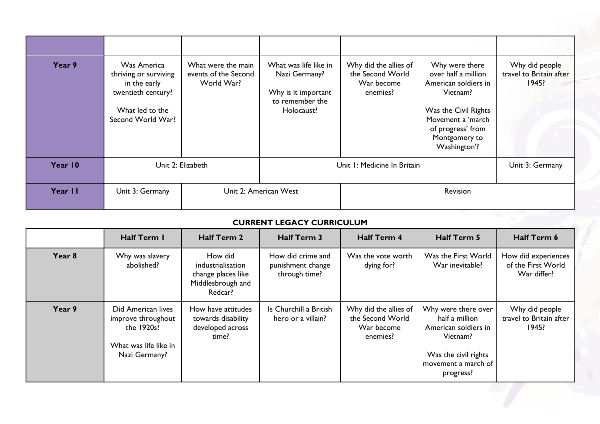| Year 9  | Was America<br>thriving or surviving<br>in the early<br>twentieth century?<br>What led to the<br>Second World War? | What were the main<br>events of the Second<br>World War? | What was life like in<br>Nazi Germany?<br>Why is it important<br>to remember the<br>Holocaust? | Why did the allies of<br>the Second World<br>War become<br>enemies? | Why were there<br>over half a million<br>American soldiers in<br>Vietnam?<br>Was the Civil Rights<br>Movement a 'march<br>of progress' from<br>Montgomery to<br>Washington'? | Why did people<br>travel to Britain after<br>1945? |
|---------|--------------------------------------------------------------------------------------------------------------------|----------------------------------------------------------|------------------------------------------------------------------------------------------------|---------------------------------------------------------------------|------------------------------------------------------------------------------------------------------------------------------------------------------------------------------|----------------------------------------------------|
| Year 10 | Unit 2: Elizabeth                                                                                                  |                                                          | Unit I: Medicine In Britain                                                                    |                                                                     |                                                                                                                                                                              | Unit 3: Germany                                    |
| Year II | Unit 3: Germany                                                                                                    | Unit 2: American West                                    |                                                                                                | Revision                                                            |                                                                                                                                                                              |                                                    |

# **CURRENT LEGACY CURRICULUM**

|        | <b>Half Term I</b>                                                                               | <b>Half Term 2</b>                                                                 | Half Term 3                                             | <b>Half Term 4</b>                                                  | Half Term 5                                                                                                                           | Half Term 6                                              |
|--------|--------------------------------------------------------------------------------------------------|------------------------------------------------------------------------------------|---------------------------------------------------------|---------------------------------------------------------------------|---------------------------------------------------------------------------------------------------------------------------------------|----------------------------------------------------------|
| Year 8 | Why was slavery<br>abolished?                                                                    | How did<br>industrialisation<br>change places like<br>Middlesbrough and<br>Redcar? | How did crime and<br>punishment change<br>through time? | Was the vote worth<br>dying for?                                    | Was the First World<br>War inevitable?                                                                                                | How did experiences<br>of the First World<br>War differ? |
| Year 9 | Did American lives<br>improve throughout<br>the 1920s?<br>What was life like in<br>Nazi Germany? | How have attitudes<br>towards disability<br>developed across<br>time?              | Is Churchill a British<br>hero or a villain?            | Why did the allies of<br>the Second World<br>War become<br>enemies? | Why were there over<br>half a million<br>American soldiers in<br>Vietnam?<br>Was the civil rights<br>movement a march of<br>progress? | Why did people<br>travel to Britain after<br>1945?       |